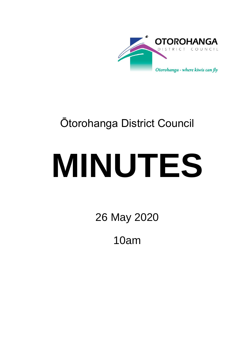

# Ōtorohanga District Council

# **MINUTES**

26 May 2020

10am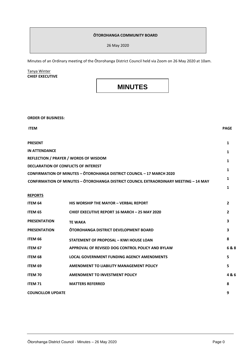#### **ŌTOROHANGA COMMUNITY BOARD**

26 May 2020

Minutes of an Ordinary meeting of the Ōtorohanga District Council held via Zoom on 26 May 2020 at 10am.

#### Tanya Winter **CHIEF EXECUTIVE**

**ORDER OF BUSINESS:**

## **MINUTES**

| <b>ITEM</b>                                                                                 | <b>PAGE</b>    |
|---------------------------------------------------------------------------------------------|----------------|
| <b>PRESENT</b>                                                                              | $\mathbf{1}$   |
| <b>IN ATTENDANCE</b>                                                                        | 1              |
| REFLECTION / PRAYER / WORDS OF WISDOM                                                       | 1              |
| <b>DECLARATION OF CONFLICTS OF INTEREST</b>                                                 | 1              |
| <b>CONFIRMATION OF MINUTES - OTOROHANGA DISTRICT COUNCIL - 17 MARCH 2020</b>                |                |
| <b>CONFIRMATION OF MINUTES - OTOROHANGA DISTRICT COUNCIL EXTRAORDINARY MEETING - 14 MAY</b> | 1              |
|                                                                                             | 1              |
| <b>REPORTS</b>                                                                              |                |
| ITEM 64<br><b>HIS WORSHIP THE MAYOR - VERBAL REPORT</b>                                     | $\overline{2}$ |
| ITEM 65<br><b>CHIEF EXECUTIVE REPORT 16 MARCH - 25 MAY 2020</b>                             | $\mathbf{2}$   |
| <b>PRESENTATION</b><br><b>TE WAKA</b>                                                       | 3              |
| <b>OTOROHANGA DISTRICT DEVELOPMENT BOARD</b><br><b>PRESENTATION</b>                         | 3              |
| ITEM 66<br><b>STATEMENT OF PROPOSAL - KIWI HOUSE LOAN</b>                                   | 8              |
| ITEM 67<br>APPROVAL OF REVISED DOG CONTROL POLICY AND BYLAW                                 | 6&8            |
| ITEM 68<br><b>LOCAL GOVERNMENT FUNDING AGENCY AMENDMENTS</b>                                | 5              |
| ITEM 69<br>AMENDMENT TO LIABILITY MANAGEMENT POLICY                                         | 5              |
| <b>ITEM 70</b><br><b>AMENDMENT TO INVESTMENT POLICY</b>                                     | 4&6            |
| <b>ITEM 71</b><br><b>MATTERS REFERRED</b>                                                   | 8              |
| <b>COUNCILLOR UPDATE</b>                                                                    | 9              |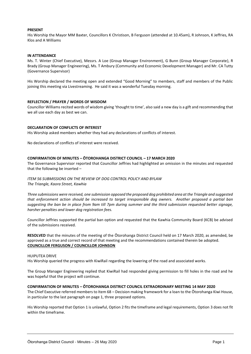#### **PRESENT**

His Worship the Mayor MM Baxter, Councillors K Christison, B Ferguson (attended at 10.45am), R Johnson, K Jeffries, RA Klos and A Williams

#### **IN ATTENDANCE**

Ms. T. Winter (Chief Executive), Messrs. A Loe (Group Manager Environment), G Bunn (Group Manager Corporate), R Brady (Group Manager Engineering), Ms. T Ambury (Community and Economic Development Manager) and Mr. CA Tutty (Governance Supervisor)

His Worship declared the meeting open and extended "Good Morning" to members, staff and members of the Public joining this meeting via Livestreaming. He said it was a wonderful Tuesday morning.

#### **REFLECTION / PRAYER / WORDS OF WISDOM**

Councillor Williams recited words of wisdom giving 'thought to time', also said a new day is a gift and recommending that we all use each day as best we can.

#### **DECLARATION OF CONFLICTS OF INTEREST**

His Worship asked members whether they had any declarations of conflicts of interest.

No declarations of conflicts of interest were received.

#### **CONFIRMATION OF MINUTES – ŌTOROHANGA DISTRICT COUNCIL – 17 MARCH 2020**

The Governance Supervisor reported that Councillor Jeffries had highlighted an omission in the minutes and requested that the following be inserted –

#### *ITEM 56 SUBMISSIONS ON THE REVIEW OF DOG CONTROL POLICY AND BYLAW The Triangle, Kaora Street, Kawhia*

*Three submissions were received, one submission opposed the proposed dog prohibited area at the Triangle and suggested that enforcement action should be increased to target irresponsible dog owners. Another proposed a partial ban suggesting the ban be in place from 9am till 7pm during summer and the third submission requested better signage, harsher penalties and lower dog registration fees.* 

Councillor Jeffries supported the partial ban option and requested that the Kawhia Community Board (KCB) be advised of the submissions received.

**RESOLVED** that the minutes of the meeting of the Ōtorohanga District Council held on 17 March 2020, as amended, be approved as a true and correct record of that meeting and the recommendations contained therein be adopted. **COUNCILLOR FERGUSON / COUNCILLOR JOHNSON**

#### HUIPUTEA DRIVE

His Worship queried the progress with KiwiRail regarding the lowering of the road and associated works.

The Group Manager Engineering replied that KiwiRail had responded giving permission to fill holes in the road and he was hopeful that the project will continue.

#### **CONFIRMATION OF MINUTES – ŌTOROHANGA DISTRICT COUNCIL EXTRAORDINARY MEETING 14 MAY 2020**

The Chief Executive referred members to Item 68 – Decision making framework for a loan to the Ōtorohanga Kiwi House, in particular to the last paragraph on page 1, three proposed options.

His Worship reported that Option 1 is unlawful, Option 2 fits the timeframe and legal requirements, Option 3 does not fit within the timeframe.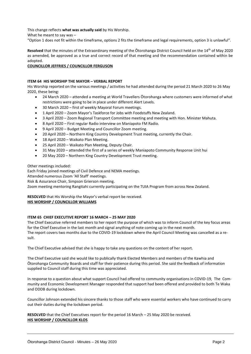This change reflects **what was actually said** by His Worship.

What he meant to say was –

"Option 1 does not fit within the timeframe, options 2 fits the timeframe and legal requirements, option 3 is unlawful".

**Resolved** that the minutes of the Extraordinary meeting of the Ōtorohanga District Council held on the 14th of May 2020 as amended, be approved as a true and correct record of that meeting and the recommendation contained within be adopted.

#### **COUNCILLOR JEFFRIES / COUNCILLOR FERGUSON**

#### **ITEM 64 HIS WORSHIP THE MAYOR – VERBAL REPORT**

His Worship reported on the various meetings / activities he had attended during the period 21 March 2020 to 26 May 2020, these being:

- 24 March 2020 attended a meeting at World Travellers Ōtorohanga where customers were informed of what restrictions were going to be in place under different Alert Levels.
- 30 March 2020 first of weekly Mayoral Forum meetings.
- 1 April 2020 Zoom Mayor's Taskforce for Jobs with Foodstuffs New Zealand.
- 3 April 2020 Zoom Regional Transport Committee meeting and meeting with Hon. Minister Mahuta.
- 8 April 2020 First regular Radio interview on Maniapoto FM Radio.
- 9 April 2020 Budget Meeting and Councillor Zoom meeting.
- 20 April 2020 Northern King Country Development Trust meeting, currently the Chair.
- 18 April 2020 Waikato Plan Meeting.
- 25 April 2020 Waikato Plan Meeting, Deputy Chair.
- 31 May 2020 attended the first of a series of weekly Maniapoto Community Response Unit hui
- 20 May 2020 Northern King Country Development Trust meeting.

#### Other meetings included:

Each Friday joined meetings of Civil Defence and NEMA meetings.

Attended numerous Zoom 'All Staff' meetings.

Risk & Assurance Chair, Simpson Grierson meeting.

Zoom meeting mentoring Rangitahi currently participating on the TUIA Program from across New Zealand.

### **RESOLVED** that His Worship the Mayor's verbal report be received.

#### **HIS WORSHIP / COUNCILLOR WILLIAMS**

#### **ITEM 65 CHIEF EXECUTIVE REPORT 16 MARCH – 25 MAY 2020**

The Chief Executive referred members to her report the purpose of which was to inform Council of the key focus areas for the Chief Executive in the last month and signal anything of note coming up in the next month. The report covers two months due to the COVID-19 lockdown where the April Council Meeting was cancelled as a result.

The Chief Executive advised that she is happy to take any questions on the content of her report.

The Chief Executive said she would like to publically thank Elected Members and members of the Kawhia and Ōtorohanga Community Boards and staff for their patience during this period. She said the feedback of information supplied to Council staff during this time was appreciated.

In response to a question about what support Council had offered to community organisations in COVID-19, The Community and Economic Development Manager responded that support had been offered and provided to both Te Waka and ODDB during lockdown.

Councillor Johnson extended his sincere thanks to those staff who were essential workers who have continued to carry out their duties during the lockdown period.

**RESOLVED** that the Chief Executives report for the period 16 March – 25 May 2020 be received. **HIS WORSHIP / COUNCILLOR KLOS**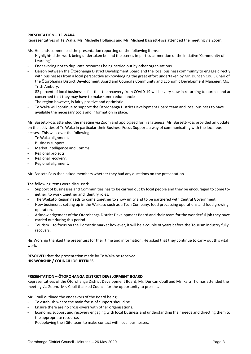#### **PRESENTATION – TE WAKA**

Representatives of Te Waka, Ms. Michelle Hollands and Mr. Michael Bassett-Foss attended the meeting via Zoom.

Ms. Hollands commenced the presentation reporting on the following items:

- Highlighted the work being undertaken behind the scenes in particular mention of the initiative 'Community of Learning".
- Endeavoring not to duplicate resources being carried out by other organisations.
- Liaison between the Ōtorohanga District Development Board and the local business community to engage directly with businesses from a local perspective acknowledging the great effort undertaken by Mr. Duncan Coull, Chair of the Ōtorohanga District Development Board and Council's Community and Economic Development Manager, Ms. Trish Ambury.
- 82 percent of local businesses felt that the recovery from COVID-19 will be very slow in returning to normal and are concerned that they may have to make some redundancies.
- The region however, is fairly positive and optimistic.
- Te Waka will continue to support the Ōtorohanga District Development Board team and local business to have available the necessary tools and information in place.

Mr. Bassett-Foss attended the meeting via Zoom and apologised for his lateness. Mr. Bassett-Foss provided an update on the activities of Te Waka in particular their Business Focus Support, a way of communicating with the local businesses. This will cover the following:

- Te Waka alignment.
- Business support.
- Market intelligence and Comms.
- Regional projects.
- Regional recovery.
- Regional alignment.

Mr. Bassett-Foss then asked members whether they had any questions on the presentation.

The following items were discussed:

- Support of businesses and Communities has to be carried out by local people and they be encouraged to come together, to work together and identify roles.
- The Waikato Region needs to come together to show unity and to be partnered with Central Government.
- New businesses setting up in the Waikato such as a Tech Company, food processing operations and food growing operation.
- Acknowledgement of the Ōtorohanga District Development Board and their team for the wonderful job they have carried out during this period.
- Tourism to focus on the Domestic market however, it will be a couple of years before the Tourism industry fully recovers.

His Worship thanked the presenters for their time and information. He asked that they continue to carry out this vital work.

**RESOLVED** that the presentation made by Te Waka be received. **HIS WORSHIP / COUNCILLOR JEFFRIES**

#### **PRESENTATION – ŌTOROHANGA DISTRICT DEVELOPMENT BOARD**

Representatives of the Ōtorohanga District Development Board, Mr. Duncan Coull and Ms. Kara Thomas attended the meeting via Zoom. Mr. Coull thanked Council for the opportunity to present.

Mr. Coull outlined the endeavors of the Board being:

- To establish where the main focus of support should be.
- Ensure there are no cross-overs with other organisations.
- Economic support and recovery engaging with local business and understanding their needs and directing them to the appropriate resource.
- Redeploying the i-Site team to make contact with local businesses.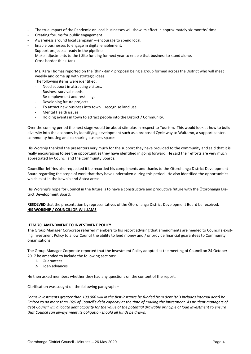- The true impact of the Pandemic on local businesses will show its effect in approximately six months' time.
- Creating forums for public engagement.
- Awareness around local campaign encourage to spend local.
- Enable businesses to engage in digital enablement.
- Support projects already in the pipeline.
- Make adjustments to the i-Site funding for next year to enable that business to stand alone.
- Cross border think-tank.

Ms. Kara Thomas reported on the 'think-tank' proposal being a group formed across the District who will meet weekly and come up with strategic ideas.

The following items were identified:

- Need support in attracting visitors.
- Business survival needs.
- Re-employment and reskilling.
- Developing future projects.
- To attract new business into town recognise land use.
- Mental Health issues
- Holding events in town to attract people into the District / Community.

Over the coming period the next stage would be about stimulus in respect to Tourism. This would look at how to build diversity into the economy by identifying development such as a proposed Cycle way to Waitomo, a support center, community housing and co-sharing business spaces.

His Worship thanked the presenters very much for the support they have provided to the community and said that it is really encouraging to see the opportunities they have identified in going forward. He said their efforts are very much appreciated by Council and the Community Boards.

Councillor Jeffries also requested it be recorded his compliments and thanks to the Ōtorohanga District Development Board regarding the scope of work that they have undertaken during this period. He also identified the opportunities which exist in the Kawhia and Aotea areas.

His Worship's hope for Council in the future is to have a constructive and productive future with the Ōtorohanga District Development Board.

**RESOLVED** that the presentation by representatives of the Ōtorohanga District Development Board be received. **HIS WORSHIP / COUNCILLOR WILLIAMS**

#### **ITEM 70 AMENDMENT TO INVESTMENT POLICY**

The Group Manager Corporate referred members to his report advising that amendments are needed to Council's existing Investment Policy to allow Council the ability to lend money and / or provide financial guarantees to Community organisations.

The Group Manager Corporate reported that the Investment Policy adopted at the meeting of Council on 24 October 2017 be amended to include the following sections:

- 1- Guarantees
- 2- Loan advances

He then asked members whether they had any questions on the content of the report.

Clarification was sought on the following paragraph –

*Loans investments greater than 100,000 will in the first instance be funded from debt (this includes internal debt) be limited to no more than 10% of Council's debt capacity at the time of making the investment. As prudent managers of debt Council will allocate debt capacity for the value of the potential drawable principle of loan investment to ensure that Council can always meet its obligation should all funds be drawn.*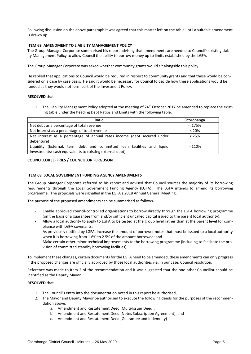Following discussion on the above paragraph it was agreed that this matter left on the table until a suitable amendment is drawn up.

#### **ITEM 69 AMENDMENT TO LIABILITY MANAGEMENT POLICY**

The Group Manager Corporate summarised his report advising that amendments are needed to Council's existing Liability Management Policy to allow Council the ability to borrow money up to limits established by the LGFA.

The Group Manager Corporate was asked whether community grants would sit alongside this policy.

He replied that applications to Council would be required in respect to community grants and that these would be considered on a case by case basis. He said it would be necessary for Council to decide how these applications would be funded as they would not form part of the Investment Policy.

#### **RESOLVED** that

1. The Liability Management Policy adopted at the meeting of 24<sup>th</sup> October 2017 be amended to replace the existing table under the heading Debt Ratios and Limits with the following table:

| Ratio                                                                      | <b>Otorohanga</b> |
|----------------------------------------------------------------------------|-------------------|
| Net debt as a percentage of total revenue                                  | < 175%            |
| Net Interest as a percentage of total revenue                              | $< 20\%$          |
| Net Interest as a percentage of annual rates income (debt secured under    | $< 25\%$          |
| debenture)                                                                 |                   |
| (External, term debt and committed loan facilities and liquid<br>Liauidity | >110%             |
| investments/cash equivalents to existing external debt)                    |                   |

#### **COUNCILLOR JEFFRIES / COUNCILLOR FERGUSON**

#### **ITEM 68 LOCAL GOVERNMENT FUNDING AGENCY AMENDMENTS**

The Group Manager Corporate referred to his report and advised that Council sources the majority of its borrowing requirements through the Local Government Funding Agency (LGFA). The LGFA intends to amend its borrowing programme. The proposals were signalled in the LGFA's 2018 Annual General Meeting.

The purpose of the proposed amendments can be summarised as follows-

- Enable approved council-controlled organisations to borrow directly through the LGFA borrowing programme (on the basis of a guarantee from and/or sufficient uncalled capital issued to the parent local authority);
- Allow a local authority to apply to LGFA to be tested at the group level rather than at the parent level for compliance with LGFA covenants;
- As previously notified by LGFA, increase the amount of borrower notes that must be issued to a local authority when it is borrowing from 1.6% to 2.5% of the amount borrowed; and
- Make certain other minor technical improvements to the borrowing programme (including to facilitate the provision of committed standby borrowing facilities).

To implement these changes, certain documents for the LGFA need to be amended, these amendments can only progress if the proposed changes are officially approved by those local authorities via, in our case, Council resolution.

Reference was made to Item 2 of the recommendation and it was suggested that the one other Councillor should be identified as the Deputy Mayor.

#### **RESOLVED** that

- 1. The Council's entry into the documentation noted in this report be authorised,
- 2. The Mayor and Deputy Mayor be authorised to execute the following deeds for the purposes of the recommendation above:
	- a. Amendment and Restatement Deed (Multi-Issuer Deed);
	- b. Amendment and Restatement Deed (Notes Subscription Agreement); and
	- c. Amendment and Restatement Deed (Guarantee and Indemnity)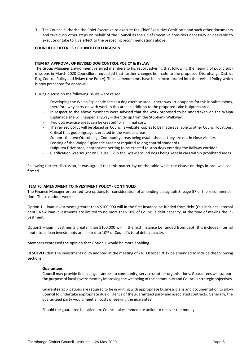3. The Council authorise the Chief Executive to execute the Chief Executive Certificate and such other documents and take such other steps on behalf of the Council as the Chief Executive considers necessary or desirable to execute or take to give effect to the preceding recommendations above.

#### **COUNCILLOR JEFFRIES / COUNCILLOR FERGUSON**

#### **ITEM 67 APPROVAL OF REVISED DOG CONTROL POLICY & BYLAW**

The Group Manager Environment referred members to his report advising that following the hearing of public submissions in March 2020 Councillors requested that further changes be made to the proposed Ōtorohanga District Dog Control Policy and Bylaw (the Policy). Those amendments have been incorporated into the revised Policy which is now presented for approval.

During discussion the following issues were raised:

- Developing the Waipa Esplanade site as a dog exercise area there was little support for this in submissions, therefore why carry on with work in this area in addition to the proposed Lake Huiputea area.
- In respect to the above members were advised that the work proposed to be undertaken on the Waipa Esplanade site will happen anyway – the tidy up from the Stopbank Walkway.
- Two dog exercise areas can be created for minimal cost.
- The revised policy will be placed on Council's website, copies to be made available to other Council locations.
- Critical that good signage is erected in the various areas.
- Support the two Ōtorohanga Community areas being established as they are not in close vicinity.
- Fencing of the Waipa Esplanade area not required to dog control standards.
- Huiputea Drive area, appropriate netting to be erected to stop dogs entering the Railway corridor.
- Clarification was sought on Clause 5.7 in the Bylaw around dogs being kept in cars within prohibited areas.

Following further discussion, it was agreed that this matter lay on the table while the clause on dogs in cars was confirmed.

#### **ITEM 70 AMENDMENT TO INVESTMENT POLICY - CONTINUED**

The Finance Manager presented two options for consideration of amending paragraph 3, page 57 of the recommendation. These options were –

Option 1 – loan investments greater than \$100,000 will in the first instance be funded from debt (this includes internal debt). New loan investments are limited to no more than 10% of Council's debt capacity, at the time of making the investment.

Option2 – loan investments greater than \$100,000 will in the first instance be funded from debt (this includes internal debt), total loan investments are limited to 10% of Council's total debt capacity.

Members expressed the opinion that Option 1 would be more enabling.

RESOLVED that The Investment Policy adopted at the meeting of 24<sup>th</sup> October 2017 be amended to include the following sections:

#### **Guarantees**

Council may provide financial guarantees to community, service or other organisations. Guarantees will support the purpose of local government by improving the wellbeing of the community and Council's strategic objectives.

Guarantee applications are required to be in writing with appropriate business plans and documentation to allow Council to undertake appropriate due diligence of the guaranteed party and associated contracts. Generally, the guaranteed party would meet all costs of seeking the guarantee.

Should the guarantee be called up, Council takes immediate action to recover the money.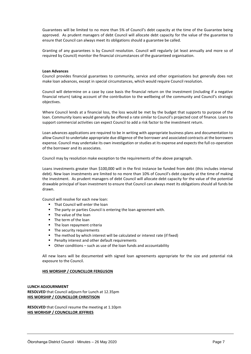Guarantees will be limited to no more than 5% of Council's debt capacity at the time of the Guarantee being approved. As prudent managers of debt Council will allocate debt capacity for the value of the guarantee to ensure that Council can always meet its obligations should a guarantee be called.

Granting of any guarantees is by Council resolution. Council will regularly (at least annually and more so of required by Council) monitor the financial circumstances of the guaranteed organisation.

#### **Loan Advances**

Council provides financial guarantees to community, service and other organisations but generally does not make loan advances, except in special circumstances, which would require Council resolution.

Council will determine on a case by case basis the financial return on the investment (including if a negative financial return) taking account of the contribution to the wellbeing of the community and Council's strategic objectives.

Where Council lends at a financial loss, the loss would be met by the budget that supports to purpose of the loan. Community loans would generally be offered a rate similar to Council's projected cost of finance. Loans to support commercial activities can expect Council to add a risk factor to the investment return.

Loan advances applications are required to be in writing with appropriate business plans and documentation to allow Council to undertake appropriate due diligence of the borrower and associated contracts at the borrowers expense. Council may undertake its own investigation or studies at its expense and expects the full co-operation of the borrower and its associates.

Council may by resolution make exception to the requirements of the above paragraph.

Loans investments greater than \$100,000 will in the first instance be funded from debt (this includes internal debt). New loan investments are limited to no more than 10% of Council's debt capacity at the time of making the investment. As prudent managers of debt Council will allocate debt capacity for the value of the potential drawable principal of loan investment to ensure that Council can always meet its obligations should all funds be drawn.

Council will resolve for each new loan:

- **That Council will enter the loan**
- The party or parties Council is entering the loan agreement with.
- The value of the loan
- The term of the loan
- The loan repayment criteria
- The security requirements
- The method by which interest will be calculated or interest rate (if fixed)
- Penalty interest and other default requirements
- Other conditions such as use of the loan funds and accountability

All new loans will be documented with signed loan agreements appropriate for the size and potential risk exposure to the Council.

#### **HIS WORSHIP / COUNCILLOR FERGUSON**

#### **LUNCH ADJOURNMENT**

**RESOLVED** that Council adjourn for Lunch at 12.35pm **HIS WORSHIP / COUNCILLOR CHRISTISON**

**RESOLVED** that Council resume the meeting at 1.10pm **HIS WORHSIP / COUNCILLOR JEFFRIES**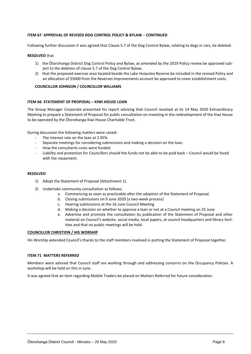#### **ITEM 67 APPROVAL OF REVISED DOG CONTROL POLICY & BYLAW** – **CONTINUED**

Following further discussion it was agreed that Clause 5.7 of the Dog Control Bylaw, relating to dogs in cars, be deleted.

#### **RESOLVED** that

- 1) the Ōtorohanga District Dog Control Policy and Bylaw, as amended by the 2019 Policy review be approved subject to the deletion of clause 5.7 of the Dog Control Bylaw,
- 2) that the proposed exercise area located beside the Lake Huiputea Reserve be included in the revised Policy and an allocation of \$5000 from the Reserves Improvements account be approved to cover establishment costs.

#### **COUNCILLOR JOHNSON / COUNCILLOR WILLIAMS**

#### **ITEM 66 STATEMENT OF PROPOSAL – KIWI HOUSE LOAN**

The Group Manager Corporate presented his report advising that Council resolved at its 14 May 2020 Extraordinary Meeting to prepare a Statement of Proposal for public consultation on investing in the redevelopment of the Kiwi House to be operated by the Ōtorohanga Kiwi House Charitable Trust.

During discussion the following matters were raised-

- The interest rate on the loan at 2.95%.
- Separate meetings for considering submissions and making a decision on the loan.
- How the consultants costs were funded.
- Liability and protection for Councillors should the funds not be able to be paid back Council would be faced with the repayment.

#### **RESOLVED**

- 1) Adopt the Statement of Proposal (Attachment 1).
- 2) Undertake community consultation as follows:
	- a. Commencing as soon as practicable after the adoption of the Statement of Proposal.
	- b. Closing submissions on 9 June 2020 (a two-week process)
	- c. Hearing submissions at the 16 June Council Meeting
	- d. Making a decision on whether to approve a loan or not at a Council meeting on 25 June
	- e. Advertise and promote the consultation by publication of the Statement of Proposal and other material on Council's website, social media, local papers, at council headquarters and library facilities and that no public meetings will be held.

#### **COUNCILLOR CHRISTION / HIS WORSHIP**

His Worship extended Council's thanks to the staff members involved in putting the Statement of Proposal together.

#### **ITEM 71 MATTERS REFERRED**

Members were advised that Council staff are working through and addressing concerns on the Occupancy Policies. A workshop will be held on this in June.

It was agreed that an item regarding Mobile Traders be placed on Matters Referred for future consideration.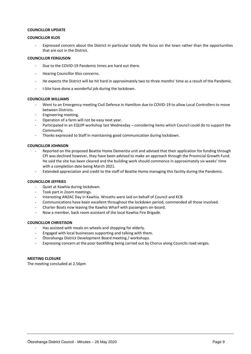#### **COUNCILLOR UPDATE**

#### **COUNCILLOR KLOS**

Expressed concern about the District in particular totally the focus on the town rather than the opportunities that are out in the District.

#### **COUNCILLOR FERGUSON**

- Due to the COVID-19 Pandemic times are hard out there.
- Hearing Councillor Klos concerns.
- He expects the District will be hit hard in approximately two to three months' time as a result of the Pandemic.
- I-Site have done a wonderful job during the lockdown.

#### **COUNCILLOR WILLIAMS**

- Went to an Emergency meeting Civil Defence in Hamilton due to COVID-19 to allow Local Controllers to move between Districts.
- Engineering meeting.
- Operation of a farm will not be easy next year.
- Participated in an EQUIP workshop last Wednesday considering items which Council could do to support the Community.
- Thanks expressed to Staff in maintaining good communication during lockdown.

#### **COUNCILLOR JOHNSON**

- Reported on the proposed Beattie Home Dementia unit and advised that their application for funding through CPI was declined however, they have been advised to make an approach through the Provincial Growth Fund. He said the site has been cleared and the building work should commence in approximately six weeks' time with a completion date being March 2021.
- Extended appreciation and credit to the staff of Beattie Home managing this facility during the Pandemic.

#### **COUNCILLOR JEFFRIES**

- Quiet at Kawhia during lockdown.
- Took part in Zoom meetings.
- Interesting ANZAC Day in Kawhia. Wreaths were laid on behalf of Council and KCB.
- Communications have been excellent throughout the lockdown period, commended all those involved.
- Charter Boats now leaving the Kawhia Wharf with passengers on-board.
- Now a member, back room assistant of the local Kawhia Fire Brigade.

#### **COUNCILLOR CHRISTISON**

- Has assisted with meals on wheels and shopping for elderly.
- Engaged with local businesses supporting and talking with them.
- Ōtorohanga District Development Board meeting / workshops.
- Expressing concern at the poor backfilling being carried out by Chorus along Councils road verges.

#### **MEETING CLOSURE**

The meeting concluded at 2.56pm